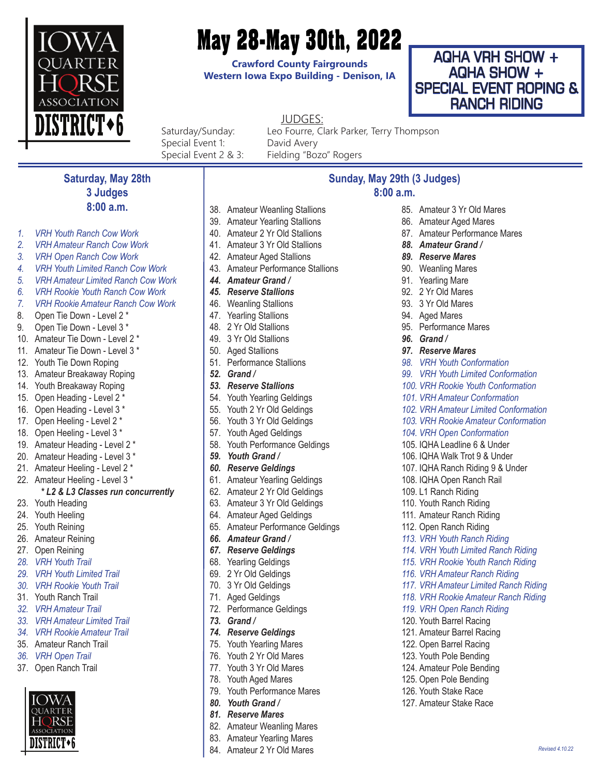

# **May 28-May 30th, 2022**

**Crawford County Fairgrounds Western Iowa Expo Building - Denison, IA**

## AQHA VRH SHOW + AQHA SHOW + SPECIAL EVENT ROPING & RANCH RIDING

JUDGES:

Special Event 1: David Avery Special Event 2 & 3: Fielding "Bozo" Rogers

Saturday/Sunday: Leo Fourre, Clark Parker, Terry Thompson

## **Saturday, May 28th 3 Judges 8:00 a.m.**

- *1. VRH Youth Ranch Cow Work*
- *2. VRH Amateur Ranch Cow Work*
- *3. VRH Open Ranch Cow Work*
- *4. VRH Youth Limited Ranch Cow Work*
- *5. VRH Amateur Limited Ranch Cow Work*
- *6. VRH Rookie Youth Ranch Cow Work*
- *7. VRH Rookie Amateur Ranch Cow Work*
- 8. Open Tie Down Level 2 \*
- 9. Open Tie Down Level 3 \*
- 10. Amateur Tie Down Level 2 \*
- 11. Amateur Tie Down Level 3 \*
- 12. Youth Tie Down Roping
- 13. Amateur Breakaway Roping
- 14. Youth Breakaway Roping
- 15. Open Heading Level 2 \*
- 16. Open Heading Level 3 \*
- 17. Open Heeling Level 2 \*
- 18. Open Heeling Level 3 \*
- 19. Amateur Heading Level 2 \*
- 20. Amateur Heading Level 3 \*
- 21. Amateur Heeling Level 2 \*
- 22. Amateur Heeling Level 3 \*

#### *\* L2 & L3 Classes run concurrently*

- 23. Youth Heading
- 24. Youth Heeling
- 25. Youth Reining
- 26. Amateur Reining
- 27. Open Reining
- *28. VRH Youth Trail*
- *29. VRH Youth Limited Trail*
- *30. VRH Rookie Youth Trail*
- 31. Youth Ranch Trail
- *32. VRH Amateur Trail*
- *33. VRH Amateur Limited Trail 34. VRH Rookie Amateur Trail*
- 35. Amateur Ranch Trail
- *36. VRH Open Trail*
- 
- 37. Open Ranch Trail



- 
- 38. Amateur Weanling Stallions
- 39. Amateur Yearling Stallions
- 40. Amateur 2 Yr Old Stallions
- 41. Amateur 3 Yr Old Stallions
- 42. Amateur Aged Stallions
- 43. Amateur Performance Stallions
- *44. Amateur Grand /*
- *45. Reserve Stallions*
- 46. Weanling Stallions
- 47. Yearling Stallions
- 48. 2 Yr Old Stallions
- 49. 3 Yr Old Stallions
- 50. Aged Stallions
- 51. Performance Stallions
- *52. Grand /*
- *53. Reserve Stallions*
- 54. Youth Yearling Geldings
- 55. Youth 2 Yr Old Geldings
- 56. Youth 3 Yr Old Geldings
- 57. Youth Aged Geldings
- 58. Youth Performance Geldings
- *59. Youth Grand /*
- *60. Reserve Geldings*
- 61. Amateur Yearling Geldings
- 62. Amateur 2 Yr Old Geldings
- 63. Amateur 3 Yr Old Geldings
- 64. Amateur Aged Geldings
- 65. Amateur Performance Geldings
- *66. Amateur Grand /*
- *67. Reserve Geldings*
- 68. Yearling Geldings
- 69. 2 Yr Old Geldings
- 70. 3 Yr Old Geldings
- 71. Aged Geldings
- 72. Performance Geldings
- *73. Grand /*
- *74. Reserve Geldings*
- 75. Youth Yearling Mares
- 76. Youth 2 Yr Old Mares
- 77. Youth 3 Yr Old Mares
- 78. Youth Aged Mares
- 79. Youth Performance Mares
- *80. Youth Grand /*
- *81. Reserve Mares*
- 82. Amateur Weanling Mares
- 83. Amateur Yearling Mares 84. Amateur 2 Yr Old Mares
- **Sunday, May 29th (3 Judges) 8:00 a.m.**
	- 85. Amateur 3 Yr Old Mares
	- 86. Amateur Aged Mares
	- 87. Amateur Performance Mares

*98. VRH Youth Conformation 99. VRH Youth Limited Conformation 100. VRH Rookie Youth Conformation 101. VRH Amateur Conformation 102. VRH Amateur Limited Conformation 103. VRH Rookie Amateur Conformation*

*104. VRH Open Conformation* 105. IQHA Leadline 6 & Under 106. IQHA Walk Trot 9 & Under 107. IQHA Ranch Riding 9 & Under 108. IQHA Open Ranch Rail 109. L1 Ranch Riding 110. Youth Ranch Riding 111. Amateur Ranch Riding 112. Open Ranch Riding *113. VRH Youth Ranch Riding 114. VRH Youth Limited Ranch Riding 115. VRH Rookie Youth Ranch Riding 116. VRH Amateur Ranch Riding 117. VRH Amateur Limited Ranch Riding 118. VRH Rookie Amateur Ranch Riding*

*119. VRH Open Ranch Riding* 120. Youth Barrel Racing 121. Amateur Barrel Racing 122. Open Barrel Racing 123. Youth Pole Bending 124. Amateur Pole Bending 125. Open Pole Bending 126. Youth Stake Race 127. Amateur Stake Race

*Revised 4.10.22*

- *88. Amateur Grand /*
- *89. Reserve Mares* 90. Weanling Mares

91. Yearling Mare 92. 2 Yr Old Mares 93. 3 Yr Old Mares 94. Aged Mares 95. Performance Mares

*96. Grand / 97. Reserve Mares*